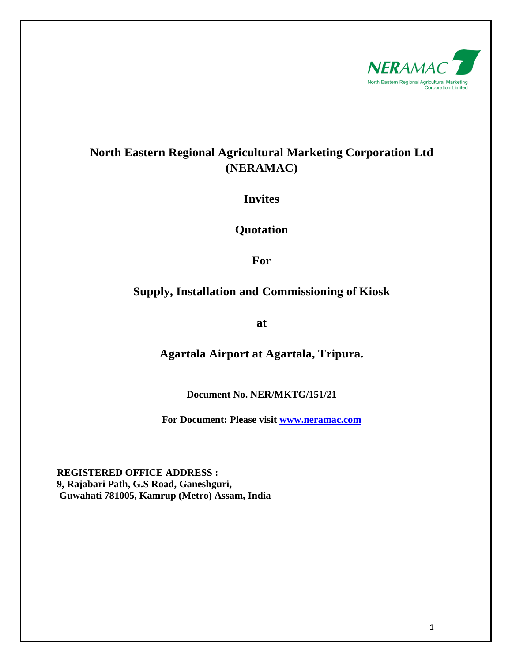

# **North Eastern Regional Agricultural Marketing Corporation Ltd (NERAMAC)**

**Invites**

**Quotation**

**For**

# **Supply, Installation and Commissioning of Kiosk**

**at**

**Agartala Airport at Agartala, Tripura.**

**Document No. NER/MKTG/151/21**

**For Document: Please visit [www.neramac.com](http://www.neramac.com/)**

**REGISTERED OFFICE ADDRESS : 9, Rajabari Path, G.S Road, Ganeshguri, Guwahati 781005, Kamrup (Metro) Assam, India**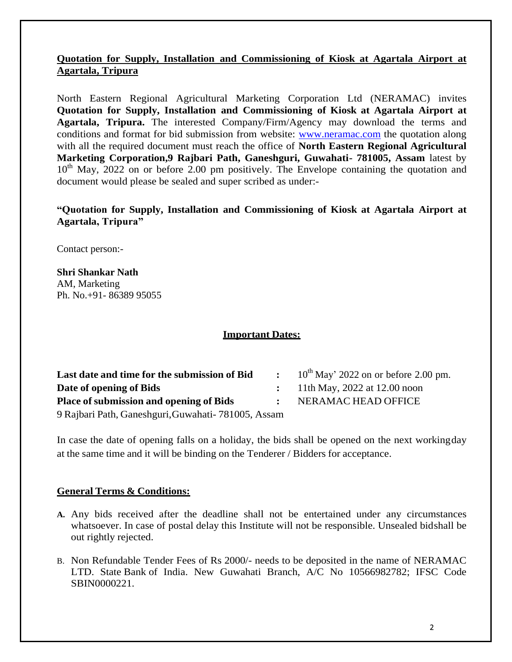## **Quotation for Supply, Installation and Commissioning of Kiosk at Agartala Airport at Agartala, Tripura**

North Eastern Regional Agricultural Marketing Corporation Ltd (NERAMAC) invites **Quotation for Supply, Installation and Commissioning of Kiosk at Agartala Airport at Agartala, Tripura.** The interested Company/Firm/Agency may download the terms and conditions and format for bid submission from website: [www.neramac.com](http://www.neramac.com/) the quotation along with all the required document must reach the office of **North Eastern Regional Agricultural Marketing Corporation,9 Rajbari Path, Ganeshguri, Guwahati- 781005, Assam** latest by  $10<sup>th</sup>$  May, 2022 on or before 2.00 pm positively. The Envelope containing the quotation and document would please be sealed and super scribed as under:-

### **"Quotation for Supply, Installation and Commissioning of Kiosk at Agartala Airport at Agartala, Tripura"**

Contact person:-

**Shri Shankar Nath** AM, Marketing Ph. No.+91- 86389 95055

#### **Important Dates:**

| Last date and time for the submission of Bid         | $\sim$ $\sim$ | $10^{th}$ May' 2022 on or before 2.00 pm. |
|------------------------------------------------------|---------------|-------------------------------------------|
| Date of opening of Bids                              |               | $\therefore$ 11th May, 2022 at 12.00 noon |
| <b>Place of submission and opening of Bids</b>       |               | NERAMAC HEAD OFFICE                       |
| 9 Rajbari Path, Ganeshguri, Guwahati - 781005, Assam |               |                                           |

In case the date of opening falls on a holiday, the bids shall be opened on the next workingday at the same time and it will be binding on the Tenderer / Bidders for acceptance.

#### **General Terms & Conditions:**

- **A.** Any bids received after the deadline shall not be entertained under any circumstances whatsoever. In case of postal delay this Institute will not be responsible. Unsealed bidshall be out rightly rejected.
- B. Non Refundable Tender Fees of Rs 2000/- needs to be deposited in the name of NERAMAC LTD. State Bank of India. New Guwahati Branch, A/C No 10566982782; IFSC Code SBIN0000221.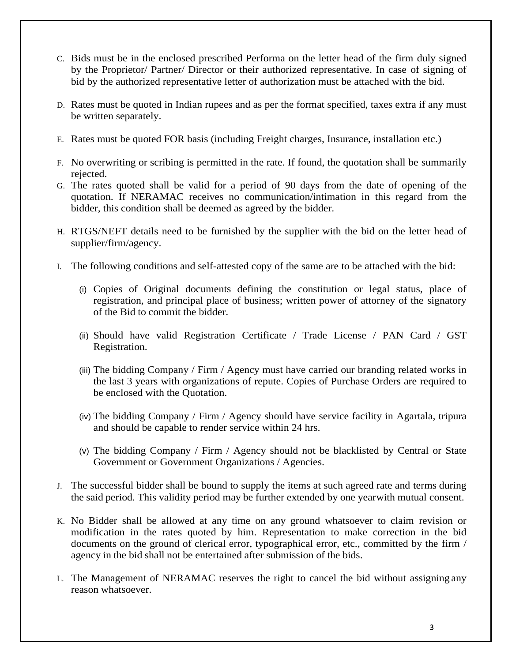- C. Bids must be in the enclosed prescribed Performa on the letter head of the firm duly signed by the Proprietor/ Partner/ Director or their authorized representative. In case of signing of bid by the authorized representative letter of authorization must be attached with the bid.
- D. Rates must be quoted in Indian rupees and as per the format specified, taxes extra if any must be written separately.
- E. Rates must be quoted FOR basis (including Freight charges, Insurance, installation etc.)
- F. No overwriting or scribing is permitted in the rate. If found, the quotation shall be summarily rejected.
- G. The rates quoted shall be valid for a period of 90 days from the date of opening of the quotation. If NERAMAC receives no communication/intimation in this regard from the bidder, this condition shall be deemed as agreed by the bidder.
- H. RTGS/NEFT details need to be furnished by the supplier with the bid on the letter head of supplier/firm/agency.
- I. The following conditions and self-attested copy of the same are to be attached with the bid:
	- (i) Copies of Original documents defining the constitution or legal status, place of registration, and principal place of business; written power of attorney of the signatory of the Bid to commit the bidder.
	- (ii) Should have valid Registration Certificate / Trade License / PAN Card / GST Registration.
	- (iii) The bidding Company / Firm / Agency must have carried our branding related works in the last 3 years with organizations of repute. Copies of Purchase Orders are required to be enclosed with the Quotation.
	- (iv) The bidding Company / Firm / Agency should have service facility in Agartala, tripura and should be capable to render service within 24 hrs.
	- (v) The bidding Company / Firm / Agency should not be blacklisted by Central or State Government or Government Organizations / Agencies.
- J. The successful bidder shall be bound to supply the items at such agreed rate and terms during the said period. This validity period may be further extended by one yearwith mutual consent.
- K. No Bidder shall be allowed at any time on any ground whatsoever to claim revision or modification in the rates quoted by him. Representation to make correction in the bid documents on the ground of clerical error, typographical error, etc., committed by the firm / agency in the bid shall not be entertained after submission of the bids.
- L. The Management of NERAMAC reserves the right to cancel the bid without assigning any reason whatsoever.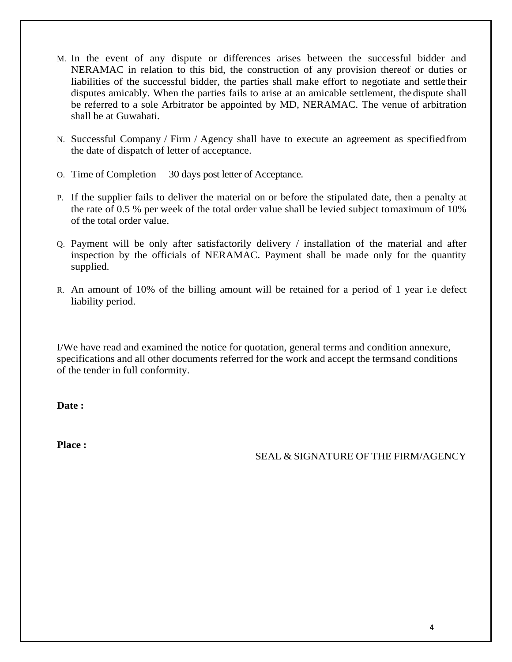- M. In the event of any dispute or differences arises between the successful bidder and NERAMAC in relation to this bid, the construction of any provision thereof or duties or liabilities of the successful bidder, the parties shall make effort to negotiate and settle their disputes amicably. When the parties fails to arise at an amicable settlement, thedispute shall be referred to a sole Arbitrator be appointed by MD, NERAMAC. The venue of arbitration shall be at Guwahati.
- N. Successful Company / Firm / Agency shall have to execute an agreement as specifiedfrom the date of dispatch of letter of acceptance.
- O. Time of Completion 30 days post letter of Acceptance.
- P. If the supplier fails to deliver the material on or before the stipulated date, then a penalty at the rate of 0.5 % per week of the total order value shall be levied subject tomaximum of 10% of the total order value.
- Q. Payment will be only after satisfactorily delivery / installation of the material and after inspection by the officials of NERAMAC. Payment shall be made only for the quantity supplied.
- R. An amount of 10% of the billing amount will be retained for a period of 1 year i.e defect liability period.

I/We have read and examined the notice for quotation, general terms and condition annexure, specifications and all other documents referred for the work and accept the termsand conditions of the tender in full conformity.

**Date :**

**Place :**

SEAL & SIGNATURE OF THE FIRM/AGENCY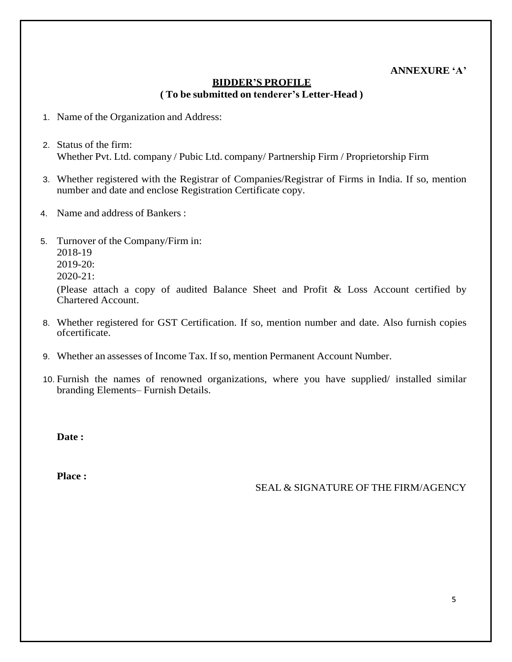### **ANNEXURE "A"**

## **BIDDER"S PROFILE ( To be submitted on tenderer"s Letter-Head )**

- 1. Name of the Organization and Address:
- 2. Status of the firm: Whether Pvt. Ltd. company / Pubic Ltd. company/ Partnership Firm / Proprietorship Firm
- 3. Whether registered with the Registrar of Companies/Registrar of Firms in India. If so, mention number and date and enclose Registration Certificate copy.
- 4. Name and address of Bankers :
- 5. Turnover of the Company/Firm in: 2018-19 2019-20: 2020-21:

(Please attach a copy of audited Balance Sheet and Profit & Loss Account certified by Chartered Account.

- 8. Whether registered for GST Certification. If so, mention number and date. Also furnish copies ofcertificate.
- 9. Whether an assesses of Income Tax. If so, mention Permanent Account Number.
- 10. Furnish the names of renowned organizations, where you have supplied/ installed similar branding Elements– Furnish Details.

**Date :**

**Place :**

SEAL & SIGNATURE OF THE FIRM/AGENCY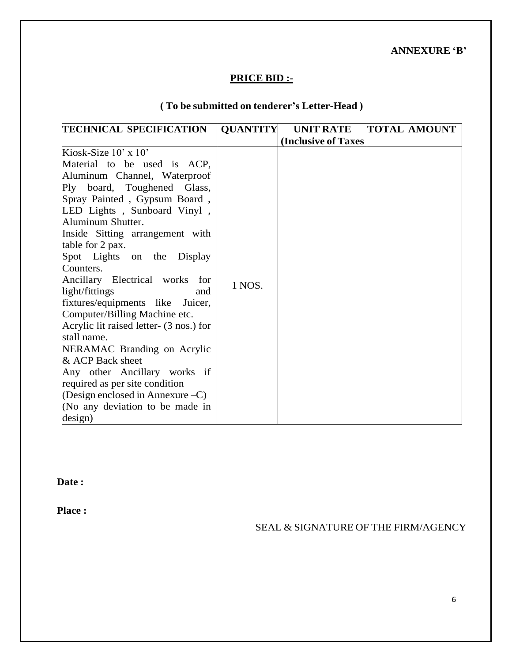**ANNEXURE "B"**

## **PRICE BID :-**

# **( To be submitted on tenderer"s Letter-Head )**

| <b>TECHNICAL SPECIFICATION</b>          | <b>QUANTITY</b> | <b>UNIT RATE</b>            | <b>TOTAL AMOUNT</b> |
|-----------------------------------------|-----------------|-----------------------------|---------------------|
|                                         |                 | <b>(Inclusive of Taxes)</b> |                     |
| Kiosk-Size $10'$ x $10'$                |                 |                             |                     |
| Material to be used is ACP,             |                 |                             |                     |
| Aluminum Channel, Waterproof            |                 |                             |                     |
| Ply board, Toughened Glass,             |                 |                             |                     |
| Spray Painted, Gypsum Board,            |                 |                             |                     |
| LED Lights, Sunboard Vinyl,             |                 |                             |                     |
| Aluminum Shutter.                       |                 |                             |                     |
| Inside Sitting arrangement with         |                 |                             |                     |
| table for 2 pax.                        |                 |                             |                     |
| Spot Lights on the Display              |                 |                             |                     |
| Counters.                               |                 |                             |                     |
| Ancillary Electrical works for          | 1 NOS.          |                             |                     |
| light/fittings<br>and                   |                 |                             |                     |
| fixtures/equipments like Juicer,        |                 |                             |                     |
| Computer/Billing Machine etc.           |                 |                             |                     |
| Acrylic lit raised letter- (3 nos.) for |                 |                             |                     |
| stall name.                             |                 |                             |                     |
| NERAMAC Branding on Acrylic             |                 |                             |                     |
| & ACP Back sheet                        |                 |                             |                     |
| Any other Ancillary works if            |                 |                             |                     |
| required as per site condition          |                 |                             |                     |
| (Design enclosed in Annexure $-C$ )     |                 |                             |                     |
| (No any deviation to be made in         |                 |                             |                     |
| design)                                 |                 |                             |                     |

**Date :**

**Place :**

SEAL & SIGNATURE OF THE FIRM/AGENCY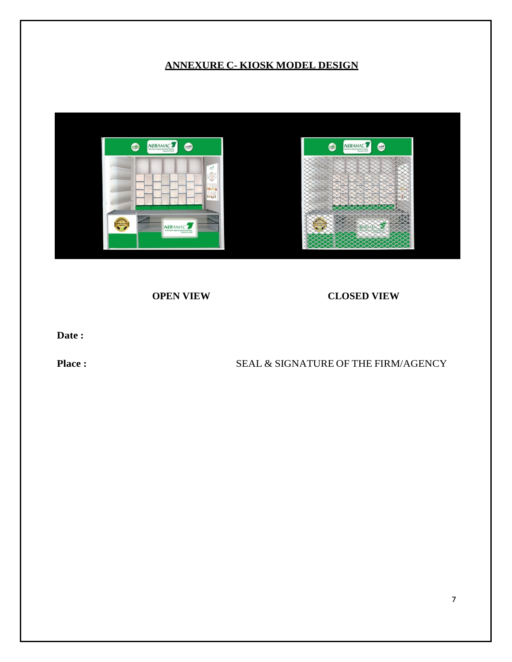## **ANNEXURE C- KIOSK MODEL DESIGN**



 **OPEN VIEW CLOSED VIEW**

**Date :**

## **Place :** SEAL & SIGNATURE OF THE FIRM/AGENCY